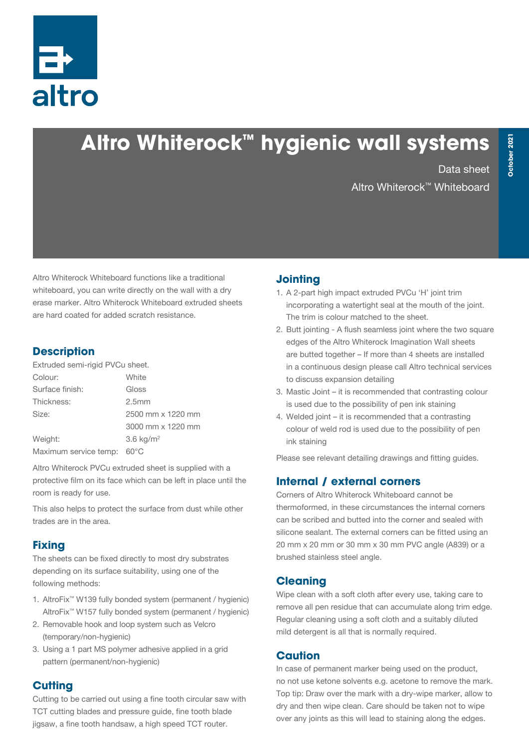

# **Altro Whiterock ™ hygienic wall systems**

Data sheet Altro Whiterock™ Whiteboard

Altro Whiterock Whiteboard functions like a traditional whiteboard, you can write directly on the wall with a dry erase marker. Altro Whiterock Whiteboard extruded sheets are hard coated for added scratch resistance.

#### **Description**

Extruded semi-rigid PVCu sheet.

| Colour:               | White             |  |
|-----------------------|-------------------|--|
| Surface finish:       | Gloss             |  |
| Thickness:            | 2.5 <sub>mm</sub> |  |
| Size:                 | 2500 mm x 1220 mm |  |
|                       | 3000 mm x 1220 mm |  |
| Weight:               | 3.6 $kg/m2$       |  |
| Maximum service temp: | $60^{\circ}$ C    |  |

Altro Whiterock PVCu extruded sheet is supplied with a protective film on its face which can be left in place until the room is ready for use.

This also helps to protect the surface from dust while other trades are in the area.

## **Fixing**

The sheets can be fixed directly to most dry substrates depending on its surface suitability, using one of the following methods:

- 1. AltroFix™ W139 fully bonded system (permanent / hygienic) AltroFix™ W157 fully bonded system (permanent / hygienic)
- 2. Removable hook and loop system such as Velcro (temporary/non-hygienic)
- 3. Using a 1 part MS polymer adhesive applied in a grid pattern (permanent/non-hygienic)

# **Cutting**

Cutting to be carried out using a fine tooth circular saw with TCT cutting blades and pressure guide, fine tooth blade jigsaw, a fine tooth handsaw, a high speed TCT router.

# **Jointing**

- 1. A 2-part high impact extruded PVCu 'H' joint trim incorporating a watertight seal at the mouth of the joint. The trim is colour matched to the sheet.
- 2. Butt jointing A flush seamless joint where the two square edges of the Altro Whiterock Imagination Wall sheets are butted together – If more than 4 sheets are installed in a continuous design please call Altro technical services to discuss expansion detailing
- 3. Mastic Joint it is recommended that contrasting colour is used due to the possibility of pen ink staining
- 4. Welded joint it is recommended that a contrasting colour of weld rod is used due to the possibility of pen ink staining

Please see relevant detailing drawings and fitting guides.

# **Internal / external corners**

Corners of Altro Whiterock Whiteboard cannot be thermoformed, in these circumstances the internal corners can be scribed and butted into the corner and sealed with silicone sealant. The external corners can be fitted using an 20 mm x 20 mm or 30 mm x 30 mm PVC angle (A839) or a brushed stainless steel angle.

## **Cleaning**

Wipe clean with a soft cloth after every use, taking care to remove all pen residue that can accumulate along trim edge. Regular cleaning using a soft cloth and a suitably diluted mild detergent is all that is normally required.

## **Caution**

In case of permanent marker being used on the product, no not use ketone solvents e.g. acetone to remove the mark. Top tip: Draw over the mark with a dry-wipe marker, allow to dry and then wipe clean. Care should be taken not to wipe over any joints as this will lead to staining along the edges.